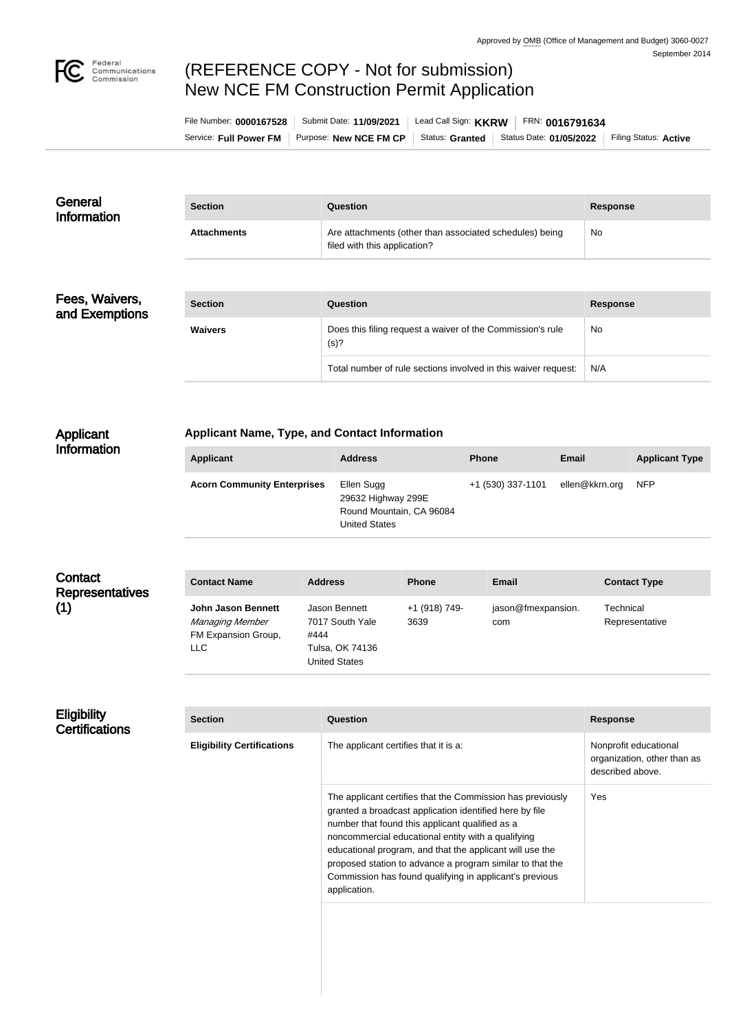

# (REFERENCE COPY - Not for submission) New NCE FM Construction Permit Application

| File Number: 0000167528 | Submit Date: 11/09/2021 | Lead Call Sign: $KKRW$ | FRN: 0016791634         |                       |
|-------------------------|-------------------------|------------------------|-------------------------|-----------------------|
| Service: Full Power FM  | Purpose: New NCE FM CP  | Status: Granted        | Status Date: 01/05/2022 | Filing Status: Active |

| General<br><b>Information</b> | <b>Section</b>     | Question                                                                                | <b>Response</b> |
|-------------------------------|--------------------|-----------------------------------------------------------------------------------------|-----------------|
|                               | <b>Attachments</b> | Are attachments (other than associated schedules) being<br>filed with this application? | No.             |

| Fees, Waivers, |  |
|----------------|--|
| and Exemptions |  |

| <b>Section</b> | Question                                                           | <b>Response</b> |
|----------------|--------------------------------------------------------------------|-----------------|
| <b>Waivers</b> | Does this filing request a waiver of the Commission's rule<br>(s)? | No              |
|                | Total number of rule sections involved in this waiver request:     | N/A             |

## Applicant Information

## **Applicant Name, Type, and Contact Information**

| <b>Applicant</b>                   | <b>Address</b>                                                                       | <b>Phone</b>      | Email          | <b>Applicant Type</b> |
|------------------------------------|--------------------------------------------------------------------------------------|-------------------|----------------|-----------------------|
| <b>Acorn Community Enterprises</b> | Ellen Sugg<br>29632 Highway 299E<br>Round Mountain, CA 96084<br><b>United States</b> | +1 (530) 337-1101 | ellen@kkrn.org | <b>NFP</b>            |

## **Contact** Representa (1)

| atives | <b>Contact Name</b>                                                         | <b>Address</b>                                                                      | <b>Phone</b>          | <b>Email</b>              | <b>Contact Type</b>         |
|--------|-----------------------------------------------------------------------------|-------------------------------------------------------------------------------------|-----------------------|---------------------------|-----------------------------|
|        | <b>John Jason Bennett</b><br>Managing Member<br>FM Expansion Group,<br>LLC. | Jason Bennett<br>7017 South Yale<br>#444<br>Tulsa, OK 74136<br><b>United States</b> | +1 (918) 749-<br>3639 | jason@fmexpansion.<br>com | Technical<br>Representative |

## **Eligibility Certifications**

| <b>Section</b>                    | Question                                                                                                                                                                                                                                                                                                                                                                                                                           | <b>Response</b>                                                          |
|-----------------------------------|------------------------------------------------------------------------------------------------------------------------------------------------------------------------------------------------------------------------------------------------------------------------------------------------------------------------------------------------------------------------------------------------------------------------------------|--------------------------------------------------------------------------|
| <b>Eligibility Certifications</b> | The applicant certifies that it is a:                                                                                                                                                                                                                                                                                                                                                                                              | Nonprofit educational<br>organization, other than as<br>described above. |
|                                   | The applicant certifies that the Commission has previously<br>granted a broadcast application identified here by file<br>number that found this applicant qualified as a<br>noncommercial educational entity with a qualifying<br>educational program, and that the applicant will use the<br>proposed station to advance a program similar to that the<br>Commission has found qualifying in applicant's previous<br>application. | Yes                                                                      |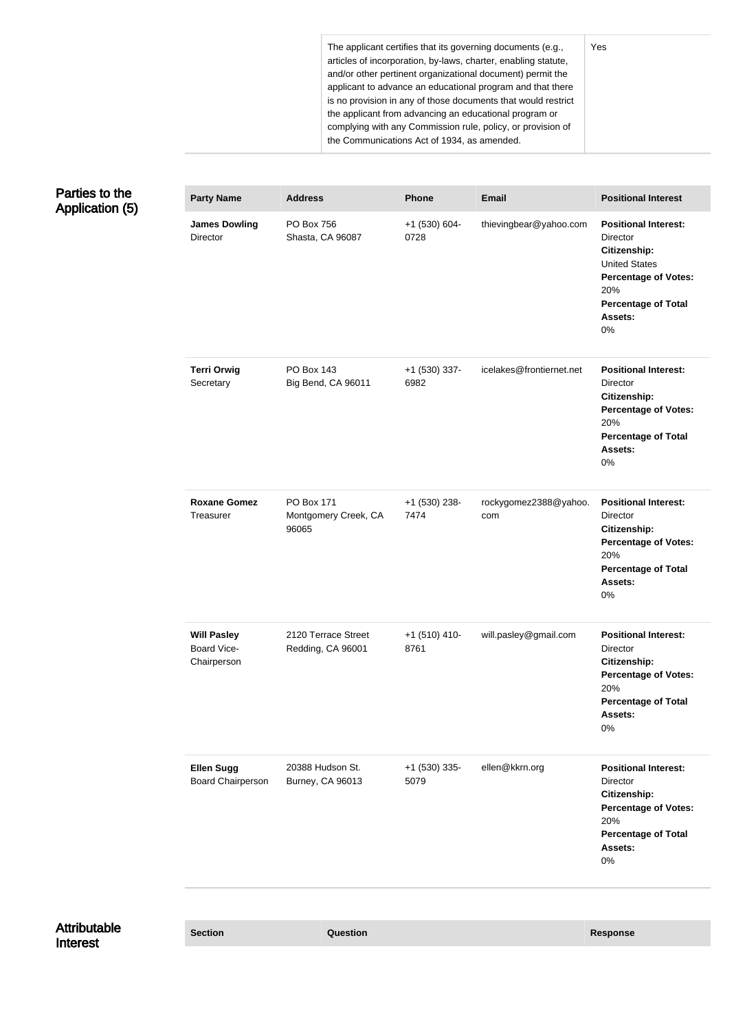The applicant certifies that its governing documents (e.g., articles of incorporation, by-laws, charter, enabling statute, and/or other pertinent organizational document) permit the applicant to advance an educational program and that there is no provision in any of those documents that would restrict the applicant from advancing an educational program or complying with any Commission rule, policy, or provision of the Communications Act of 1934, as amended.

Yes

| Parties to the         |  |
|------------------------|--|
| <b>Application (5)</b> |  |

| <b>Party Name</b>                                | <b>Address</b>                              | <b>Phone</b>            | <b>Email</b>                 | <b>Positional Interest</b>                                                                                                                                           |
|--------------------------------------------------|---------------------------------------------|-------------------------|------------------------------|----------------------------------------------------------------------------------------------------------------------------------------------------------------------|
| <b>James Dowling</b><br>Director                 | PO Box 756<br>Shasta, CA 96087              | +1 (530) 604-<br>0728   | thievingbear@yahoo.com       | <b>Positional Interest:</b><br>Director<br>Citizenship:<br><b>United States</b><br><b>Percentage of Votes:</b><br>20%<br><b>Percentage of Total</b><br>Assets:<br>0% |
| <b>Terri Orwig</b><br>Secretary                  | <b>PO Box 143</b><br>Big Bend, CA 96011     | +1 (530) 337-<br>6982   | icelakes@frontiernet.net     | <b>Positional Interest:</b><br>Director<br>Citizenship:<br><b>Percentage of Votes:</b><br>20%<br><b>Percentage of Total</b><br>Assets:<br>0%                         |
| <b>Roxane Gomez</b><br>Treasurer                 | PO Box 171<br>Montgomery Creek, CA<br>96065 | +1 (530) 238-<br>7474   | rockygomez2388@yahoo.<br>com | <b>Positional Interest:</b><br>Director<br>Citizenship:<br><b>Percentage of Votes:</b><br>20%<br><b>Percentage of Total</b><br>Assets:<br>0%                         |
| <b>Will Pasley</b><br>Board Vice-<br>Chairperson | 2120 Terrace Street<br>Redding, CA 96001    | $+1$ (510) 410-<br>8761 | will.pasley@gmail.com        | <b>Positional Interest:</b><br><b>Director</b><br>Citizenship:<br><b>Percentage of Votes:</b><br>20%<br><b>Percentage of Total</b><br>Assets:<br>0%                  |
| <b>Ellen Sugg</b><br><b>Board Chairperson</b>    | 20388 Hudson St.<br>Burney, CA 96013        | +1 (530) 335-<br>5079   | ellen@kkrn.org               | <b>Positional Interest:</b><br>Director<br>Citizenship:<br><b>Percentage of Votes:</b><br>20%<br><b>Percentage of Total</b><br>Assets:<br>0%                         |
|                                                  |                                             |                         |                              |                                                                                                                                                                      |

Attributable Interest

**Section Question Response**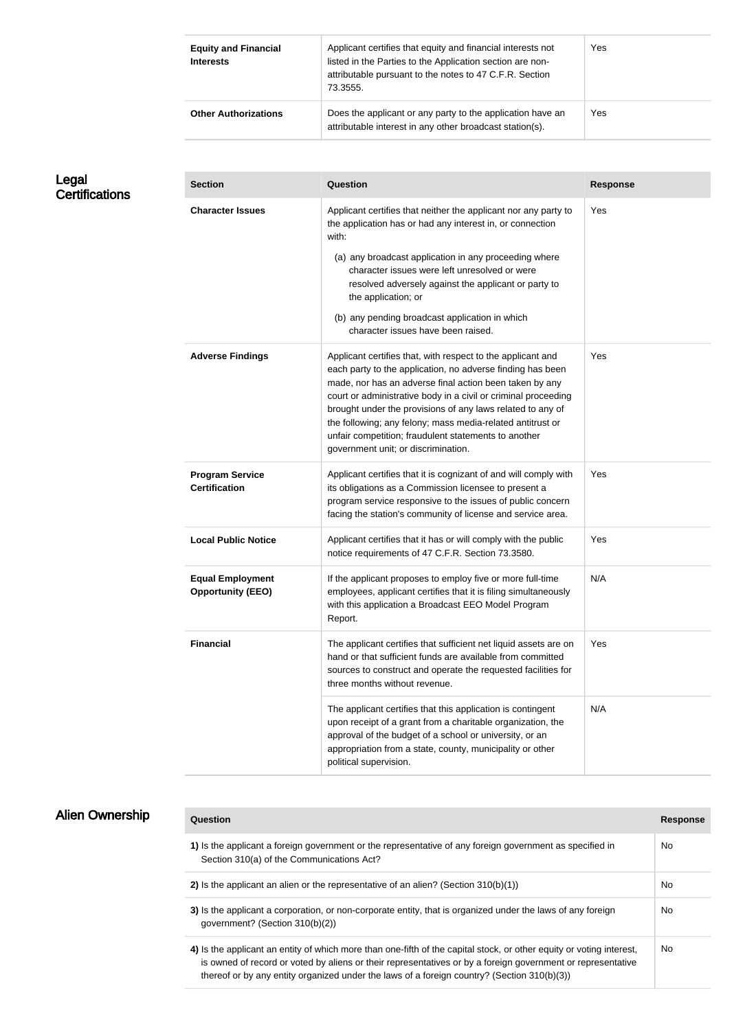| <b>Equity and Financial</b><br><b>Interests</b> | Applicant certifies that equity and financial interests not<br>listed in the Parties to the Application section are non-<br>attributable pursuant to the notes to 47 C.F.R. Section<br>73.3555. | Yes |
|-------------------------------------------------|-------------------------------------------------------------------------------------------------------------------------------------------------------------------------------------------------|-----|
| <b>Other Authorizations</b>                     | Does the applicant or any party to the application have an<br>attributable interest in any other broadcast station(s).                                                                          | Yes |

## Legal **Certifications**

| <b>Section</b>                                      | <b>Question</b>                                                                                                                                                                                                                                                                                                                                                                                                                                                                   | <b>Response</b> |
|-----------------------------------------------------|-----------------------------------------------------------------------------------------------------------------------------------------------------------------------------------------------------------------------------------------------------------------------------------------------------------------------------------------------------------------------------------------------------------------------------------------------------------------------------------|-----------------|
| <b>Character Issues</b>                             | Applicant certifies that neither the applicant nor any party to<br>the application has or had any interest in, or connection<br>with:<br>(a) any broadcast application in any proceeding where<br>character issues were left unresolved or were<br>resolved adversely against the applicant or party to<br>the application; or<br>(b) any pending broadcast application in which<br>character issues have been raised.                                                            | Yes             |
| <b>Adverse Findings</b>                             | Applicant certifies that, with respect to the applicant and<br>each party to the application, no adverse finding has been<br>made, nor has an adverse final action been taken by any<br>court or administrative body in a civil or criminal proceeding<br>brought under the provisions of any laws related to any of<br>the following; any felony; mass media-related antitrust or<br>unfair competition; fraudulent statements to another<br>government unit; or discrimination. | Yes             |
| <b>Program Service</b><br><b>Certification</b>      | Applicant certifies that it is cognizant of and will comply with<br>its obligations as a Commission licensee to present a<br>program service responsive to the issues of public concern<br>facing the station's community of license and service area.                                                                                                                                                                                                                            | Yes             |
| <b>Local Public Notice</b>                          | Applicant certifies that it has or will comply with the public<br>notice requirements of 47 C.F.R. Section 73.3580.                                                                                                                                                                                                                                                                                                                                                               | Yes             |
| <b>Equal Employment</b><br><b>Opportunity (EEO)</b> | If the applicant proposes to employ five or more full-time<br>employees, applicant certifies that it is filing simultaneously<br>with this application a Broadcast EEO Model Program<br>Report.                                                                                                                                                                                                                                                                                   | N/A             |
| <b>Financial</b>                                    | The applicant certifies that sufficient net liquid assets are on<br>hand or that sufficient funds are available from committed<br>sources to construct and operate the requested facilities for<br>three months without revenue.                                                                                                                                                                                                                                                  | Yes             |
|                                                     | The applicant certifies that this application is contingent<br>upon receipt of a grant from a charitable organization, the<br>approval of the budget of a school or university, or an<br>appropriation from a state, county, municipality or other<br>political supervision.                                                                                                                                                                                                      | N/A             |

## Alien Ownership

| Question                                                                                                                                                                                                                                                                                                                           | <b>Response</b> |
|------------------------------------------------------------------------------------------------------------------------------------------------------------------------------------------------------------------------------------------------------------------------------------------------------------------------------------|-----------------|
| 1) Is the applicant a foreign government or the representative of any foreign government as specified in<br>Section 310(a) of the Communications Act?                                                                                                                                                                              | No.             |
| 2) Is the applicant an alien or the representative of an alien? (Section $310(b)(1)$ )                                                                                                                                                                                                                                             | No.             |
| 3) Is the applicant a corporation, or non-corporate entity, that is organized under the laws of any foreign<br>government? (Section 310(b)(2))                                                                                                                                                                                     | No.             |
| 4) Is the applicant an entity of which more than one-fifth of the capital stock, or other equity or voting interest,<br>is owned of record or voted by aliens or their representatives or by a foreign government or representative<br>thereof or by any entity organized under the laws of a foreign country? (Section 310(b)(3)) | No.             |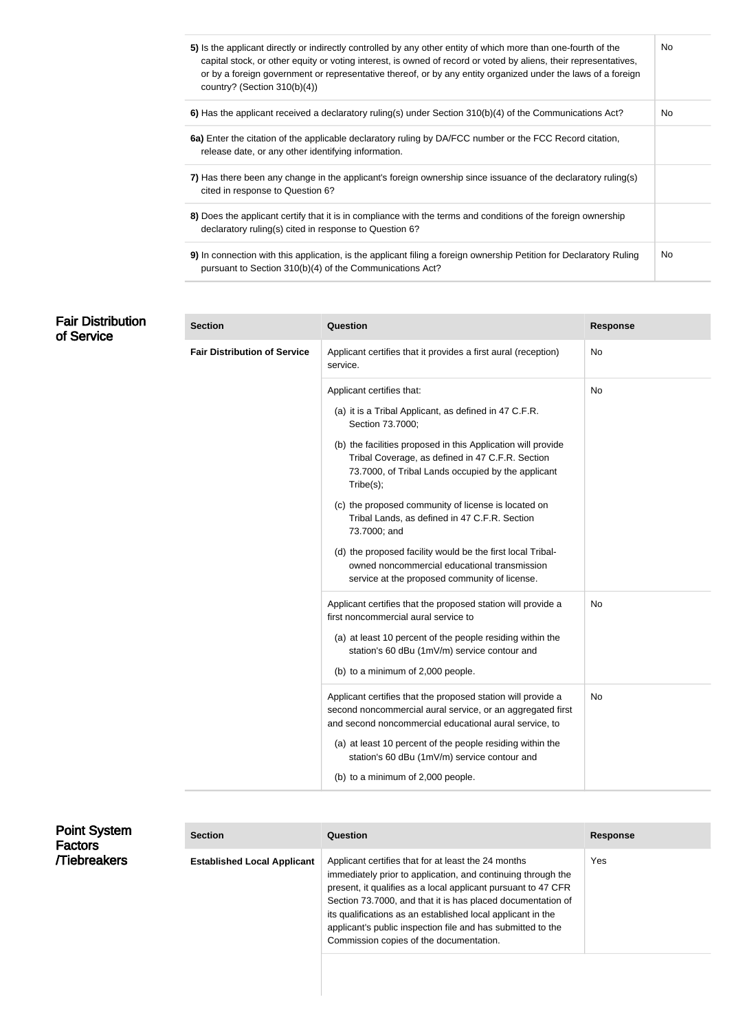| 5) Is the applicant directly or indirectly controlled by any other entity of which more than one-fourth of the<br>capital stock, or other equity or voting interest, is owned of record or voted by aliens, their representatives,<br>or by a foreign government or representative thereof, or by any entity organized under the laws of a foreign<br>country? (Section $310(b)(4)$ ) | No. |
|---------------------------------------------------------------------------------------------------------------------------------------------------------------------------------------------------------------------------------------------------------------------------------------------------------------------------------------------------------------------------------------|-----|
| 6) Has the applicant received a declaratory ruling(s) under Section 310(b)(4) of the Communications Act?                                                                                                                                                                                                                                                                              | No. |
| 6a) Enter the citation of the applicable declaratory ruling by DA/FCC number or the FCC Record citation,<br>release date, or any other identifying information.                                                                                                                                                                                                                       |     |
| 7) Has there been any change in the applicant's foreign ownership since issuance of the declaratory ruling(s)<br>cited in response to Question 6?                                                                                                                                                                                                                                     |     |
| 8) Does the applicant certify that it is in compliance with the terms and conditions of the foreign ownership<br>declaratory ruling(s) cited in response to Question 6?                                                                                                                                                                                                               |     |
| 9) In connection with this application, is the applicant filing a foreign ownership Petition for Declaratory Ruling<br>pursuant to Section 310(b)(4) of the Communications Act?                                                                                                                                                                                                       | No. |

## **Fair Distributic** of Service

| on | <b>Section</b>                      | Question                                                                                                                                                                                                          | <b>Response</b> |
|----|-------------------------------------|-------------------------------------------------------------------------------------------------------------------------------------------------------------------------------------------------------------------|-----------------|
|    | <b>Fair Distribution of Service</b> | Applicant certifies that it provides a first aural (reception)<br>service.                                                                                                                                        | No              |
|    |                                     | Applicant certifies that:                                                                                                                                                                                         | <b>No</b>       |
|    |                                     | (a) it is a Tribal Applicant, as defined in 47 C.F.R.<br>Section 73.7000;                                                                                                                                         |                 |
|    |                                     | (b) the facilities proposed in this Application will provide<br>Tribal Coverage, as defined in 47 C.F.R. Section<br>73.7000, of Tribal Lands occupied by the applicant<br>Tribe(s);                               |                 |
|    |                                     | (c) the proposed community of license is located on<br>Tribal Lands, as defined in 47 C.F.R. Section<br>73.7000; and                                                                                              |                 |
|    |                                     | (d) the proposed facility would be the first local Tribal-<br>owned noncommercial educational transmission<br>service at the proposed community of license.                                                       |                 |
|    |                                     | Applicant certifies that the proposed station will provide a<br>first noncommercial aural service to<br>(a) at least 10 percent of the people residing within the<br>station's 60 dBu (1mV/m) service contour and | No              |
|    |                                     | (b) to a minimum of 2,000 people.                                                                                                                                                                                 |                 |
|    |                                     | Applicant certifies that the proposed station will provide a<br>second noncommercial aural service, or an aggregated first<br>and second noncommercial educational aural service, to                              | <b>No</b>       |
|    |                                     | (a) at least 10 percent of the people residing within the<br>station's 60 dBu (1mV/m) service contour and                                                                                                         |                 |
|    |                                     | (b) to a minimum of 2,000 people.                                                                                                                                                                                 |                 |

| <b>Point System</b><br><b>Factors</b> | <b>Section</b>                     | Question                                                                                                                                                                                                                                                                                                                                                                                                                     | Response |
|---------------------------------------|------------------------------------|------------------------------------------------------------------------------------------------------------------------------------------------------------------------------------------------------------------------------------------------------------------------------------------------------------------------------------------------------------------------------------------------------------------------------|----------|
| <b>Tiebreakers</b>                    | <b>Established Local Applicant</b> | Applicant certifies that for at least the 24 months<br>immediately prior to application, and continuing through the<br>present, it qualifies as a local applicant pursuant to 47 CFR<br>Section 73.7000, and that it is has placed documentation of<br>its qualifications as an established local applicant in the<br>applicant's public inspection file and has submitted to the<br>Commission copies of the documentation. | Yes      |
|                                       |                                    |                                                                                                                                                                                                                                                                                                                                                                                                                              |          |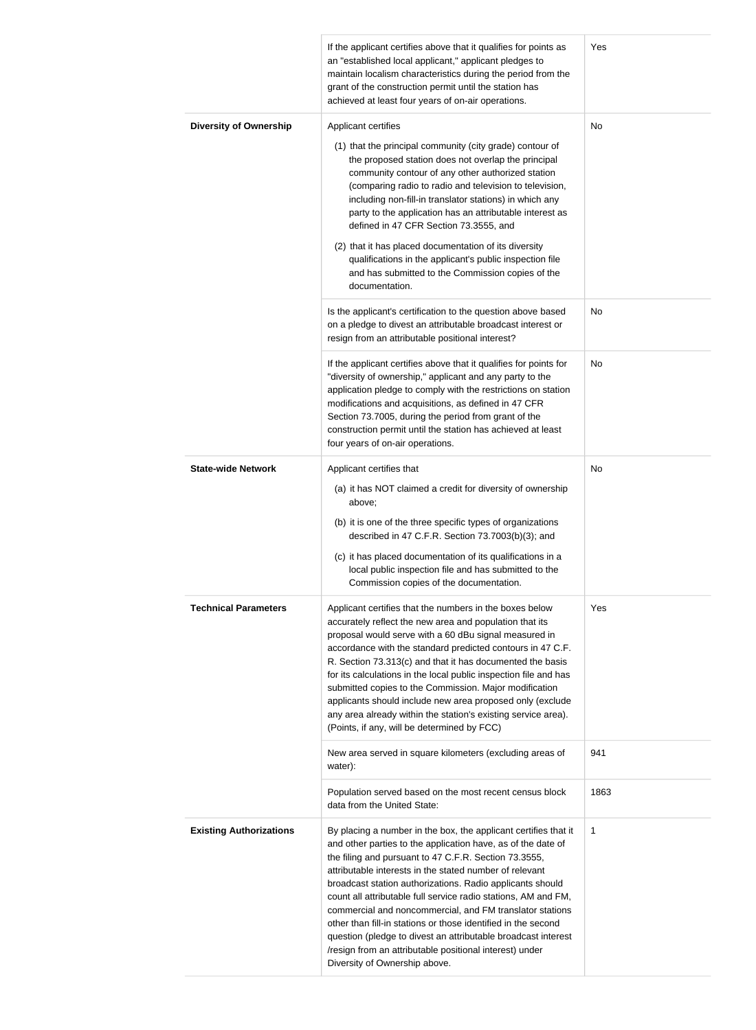|                                | If the applicant certifies above that it qualifies for points as<br>an "established local applicant," applicant pledges to<br>maintain localism characteristics during the period from the<br>grant of the construction permit until the station has<br>achieved at least four years of on-air operations.                                                                                                                                                                                                                                                                                                                                                                   | Yes         |
|--------------------------------|------------------------------------------------------------------------------------------------------------------------------------------------------------------------------------------------------------------------------------------------------------------------------------------------------------------------------------------------------------------------------------------------------------------------------------------------------------------------------------------------------------------------------------------------------------------------------------------------------------------------------------------------------------------------------|-------------|
| <b>Diversity of Ownership</b>  | Applicant certifies<br>(1) that the principal community (city grade) contour of<br>the proposed station does not overlap the principal<br>community contour of any other authorized station<br>(comparing radio to radio and television to television,<br>including non-fill-in translator stations) in which any<br>party to the application has an attributable interest as<br>defined in 47 CFR Section 73.3555, and<br>(2) that it has placed documentation of its diversity<br>qualifications in the applicant's public inspection file<br>and has submitted to the Commission copies of the<br>documentation.                                                          | No          |
|                                | Is the applicant's certification to the question above based<br>on a pledge to divest an attributable broadcast interest or<br>resign from an attributable positional interest?                                                                                                                                                                                                                                                                                                                                                                                                                                                                                              | No          |
|                                | If the applicant certifies above that it qualifies for points for<br>"diversity of ownership," applicant and any party to the<br>application pledge to comply with the restrictions on station<br>modifications and acquisitions, as defined in 47 CFR<br>Section 73.7005, during the period from grant of the<br>construction permit until the station has achieved at least<br>four years of on-air operations.                                                                                                                                                                                                                                                            | No          |
| <b>State-wide Network</b>      | Applicant certifies that<br>(a) it has NOT claimed a credit for diversity of ownership<br>above;<br>(b) it is one of the three specific types of organizations<br>described in 47 C.F.R. Section 73.7003(b)(3); and<br>(c) it has placed documentation of its qualifications in a<br>local public inspection file and has submitted to the<br>Commission copies of the documentation.                                                                                                                                                                                                                                                                                        | No          |
| <b>Technical Parameters</b>    | Applicant certifies that the numbers in the boxes below<br>accurately reflect the new area and population that its<br>proposal would serve with a 60 dBu signal measured in<br>accordance with the standard predicted contours in 47 C.F.<br>R. Section 73.313(c) and that it has documented the basis<br>for its calculations in the local public inspection file and has<br>submitted copies to the Commission. Major modification<br>applicants should include new area proposed only (exclude<br>any area already within the station's existing service area).<br>(Points, if any, will be determined by FCC)                                                            | Yes         |
|                                | New area served in square kilometers (excluding areas of<br>water):                                                                                                                                                                                                                                                                                                                                                                                                                                                                                                                                                                                                          | 941         |
|                                | Population served based on the most recent census block<br>data from the United State:                                                                                                                                                                                                                                                                                                                                                                                                                                                                                                                                                                                       | 1863        |
| <b>Existing Authorizations</b> | By placing a number in the box, the applicant certifies that it<br>and other parties to the application have, as of the date of<br>the filing and pursuant to 47 C.F.R. Section 73.3555,<br>attributable interests in the stated number of relevant<br>broadcast station authorizations. Radio applicants should<br>count all attributable full service radio stations, AM and FM,<br>commercial and noncommercial, and FM translator stations<br>other than fill-in stations or those identified in the second<br>question (pledge to divest an attributable broadcast interest<br>/resign from an attributable positional interest) under<br>Diversity of Ownership above. | $\mathbf 1$ |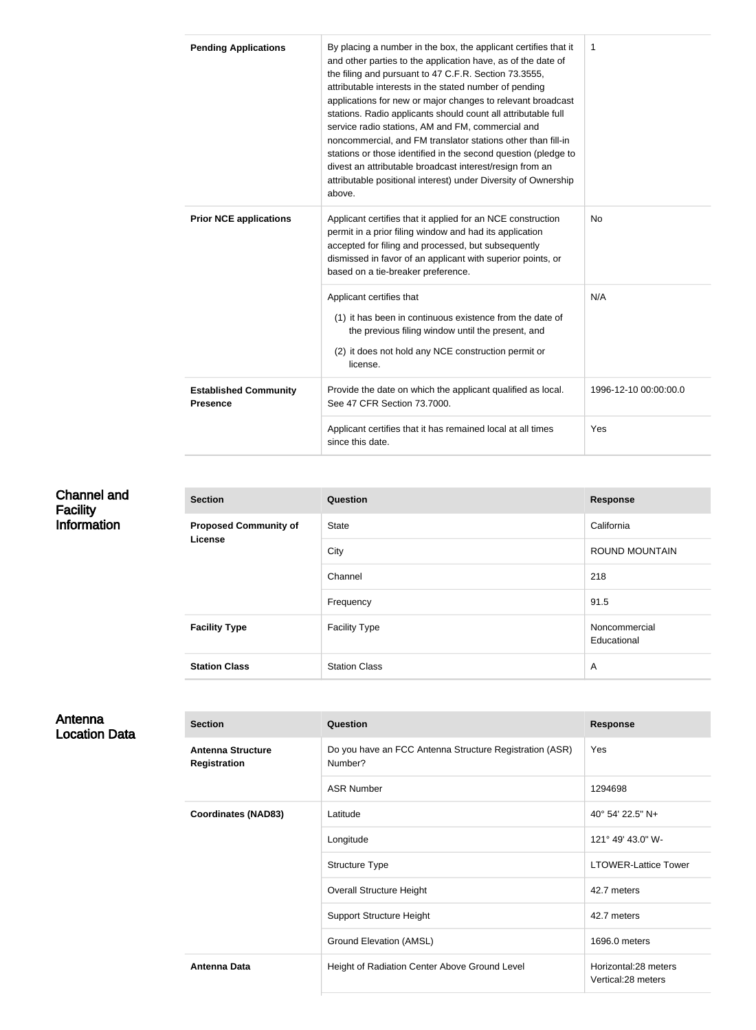| <b>Pending Applications</b>                     | By placing a number in the box, the applicant certifies that it<br>and other parties to the application have, as of the date of<br>the filing and pursuant to 47 C.F.R. Section 73.3555,<br>attributable interests in the stated number of pending<br>applications for new or major changes to relevant broadcast<br>stations. Radio applicants should count all attributable full<br>service radio stations, AM and FM, commercial and<br>noncommercial, and FM translator stations other than fill-in<br>stations or those identified in the second question (pledge to<br>divest an attributable broadcast interest/resign from an<br>attributable positional interest) under Diversity of Ownership<br>above. | 1   |
|-------------------------------------------------|-------------------------------------------------------------------------------------------------------------------------------------------------------------------------------------------------------------------------------------------------------------------------------------------------------------------------------------------------------------------------------------------------------------------------------------------------------------------------------------------------------------------------------------------------------------------------------------------------------------------------------------------------------------------------------------------------------------------|-----|
| <b>Prior NCE applications</b>                   | Applicant certifies that it applied for an NCE construction<br>permit in a prior filing window and had its application<br>accepted for filing and processed, but subsequently<br>dismissed in favor of an applicant with superior points, or<br>based on a tie-breaker preference.                                                                                                                                                                                                                                                                                                                                                                                                                                | No  |
|                                                 | Applicant certifies that<br>(1) it has been in continuous existence from the date of<br>the previous filing window until the present, and<br>(2) it does not hold any NCE construction permit or<br>license.                                                                                                                                                                                                                                                                                                                                                                                                                                                                                                      | N/A |
| <b>Established Community</b><br><b>Presence</b> | Provide the date on which the applicant qualified as local.<br>1996-12-10 00:00:00.0<br>See 47 CFR Section 73.7000.                                                                                                                                                                                                                                                                                                                                                                                                                                                                                                                                                                                               |     |
|                                                 | Applicant certifies that it has remained local at all times<br>since this date.                                                                                                                                                                                                                                                                                                                                                                                                                                                                                                                                                                                                                                   | Yes |

#### Channel and **Facility** Information **Section Question Response Proposed Community of License** State California City **City** ROUND MOUNTAIN Channel 218 Frequency 91.5 **Facility Type Facility Type Facility Type Facility Type Noncommercial** Educational **Station Class** Station Class **According Station Class** A

#### Antenna Location Data

| <b>Section</b>                                  | Question                                                           | <b>Response</b>                            |
|-------------------------------------------------|--------------------------------------------------------------------|--------------------------------------------|
| <b>Antenna Structure</b><br><b>Registration</b> | Do you have an FCC Antenna Structure Registration (ASR)<br>Number? | Yes                                        |
|                                                 | <b>ASR Number</b>                                                  | 1294698                                    |
| <b>Coordinates (NAD83)</b>                      | Latitude                                                           | 40° 54' 22.5" N+                           |
|                                                 | Longitude                                                          | 121° 49' 43.0" W-                          |
|                                                 | Structure Type                                                     | <b>LTOWER-Lattice Tower</b>                |
|                                                 | <b>Overall Structure Height</b>                                    | 42.7 meters                                |
|                                                 | <b>Support Structure Height</b>                                    | 42.7 meters                                |
|                                                 | Ground Elevation (AMSL)                                            | 1696.0 meters                              |
| <b>Antenna Data</b>                             | Height of Radiation Center Above Ground Level                      | Horizontal:28 meters<br>Vertical:28 meters |
|                                                 |                                                                    |                                            |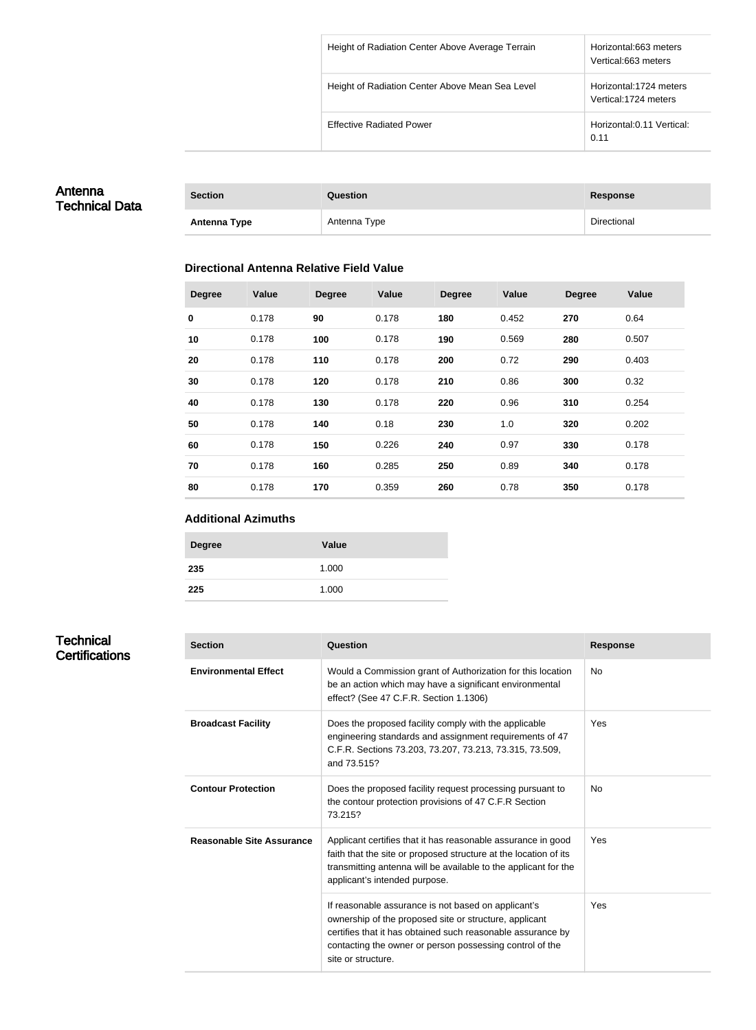| Height of Radiation Center Above Average Terrain | Horizontal:663 meters<br>Vertical:663 meters    |
|--------------------------------------------------|-------------------------------------------------|
| Height of Radiation Center Above Mean Sea Level  | Horizontal:1724 meters<br>Vertical: 1724 meters |
| <b>Effective Radiated Power</b>                  | Horizontal: 0.11 Vertical:<br>0.11              |

## Antenna Technical Data

| <b>Section</b>      | Question     | Response    |
|---------------------|--------------|-------------|
| <b>Antenna Type</b> | Antenna Type | Directional |

#### **Directional Antenna Relative Field Value**

| <b>Degree</b> | Value | <b>Degree</b> | Value | <b>Degree</b> | Value | <b>Degree</b> | Value |
|---------------|-------|---------------|-------|---------------|-------|---------------|-------|
| $\mathbf 0$   | 0.178 | 90            | 0.178 | 180           | 0.452 | 270           | 0.64  |
| 10            | 0.178 | 100           | 0.178 | 190           | 0.569 | 280           | 0.507 |
| 20            | 0.178 | 110           | 0.178 | 200           | 0.72  | 290           | 0.403 |
| 30            | 0.178 | 120           | 0.178 | 210           | 0.86  | 300           | 0.32  |
| 40            | 0.178 | 130           | 0.178 | 220           | 0.96  | 310           | 0.254 |
| 50            | 0.178 | 140           | 0.18  | 230           | 1.0   | 320           | 0.202 |
| 60            | 0.178 | 150           | 0.226 | 240           | 0.97  | 330           | 0.178 |
| 70            | 0.178 | 160           | 0.285 | 250           | 0.89  | 340           | 0.178 |
| 80            | 0.178 | 170           | 0.359 | 260           | 0.78  | 350           | 0.178 |

#### **Additional Azimuths**

| <b>Degree</b> | Value |
|---------------|-------|
| 235           | 1.000 |
| 225           | 1.000 |

## **Technical Certifications**

| <b>Section</b>                   | Question                                                                                                                                                                                                                                                       | <b>Response</b> |
|----------------------------------|----------------------------------------------------------------------------------------------------------------------------------------------------------------------------------------------------------------------------------------------------------------|-----------------|
| <b>Environmental Effect</b>      | Would a Commission grant of Authorization for this location<br>be an action which may have a significant environmental<br>effect? (See 47 C.F.R. Section 1.1306)                                                                                               | No              |
| <b>Broadcast Facility</b>        | Does the proposed facility comply with the applicable<br>engineering standards and assignment requirements of 47<br>C.F.R. Sections 73.203, 73.207, 73.213, 73.315, 73.509,<br>and 73.515?                                                                     | Yes             |
| <b>Contour Protection</b>        | Does the proposed facility request processing pursuant to<br>the contour protection provisions of 47 C.F.R Section<br>73.215?                                                                                                                                  | <b>No</b>       |
| <b>Reasonable Site Assurance</b> | Applicant certifies that it has reasonable assurance in good<br>faith that the site or proposed structure at the location of its<br>transmitting antenna will be available to the applicant for the<br>applicant's intended purpose.                           | Yes             |
|                                  | If reasonable assurance is not based on applicant's<br>ownership of the proposed site or structure, applicant<br>certifies that it has obtained such reasonable assurance by<br>contacting the owner or person possessing control of the<br>site or structure. | Yes             |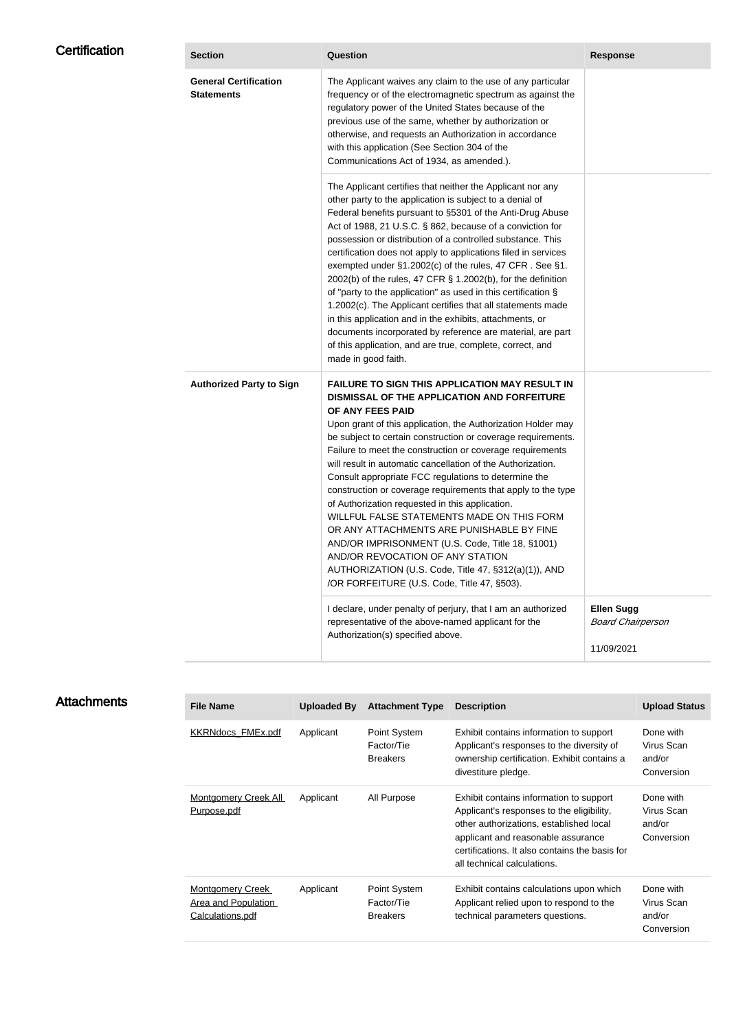| <b>Certification</b> | <b>Section</b>                                    | Question                                                                                                                                                                                                                                                                                                                                                                                                                                                                                                                                                                                                                                                                                                                                                                                                                                                  | <b>Response</b>                                             |
|----------------------|---------------------------------------------------|-----------------------------------------------------------------------------------------------------------------------------------------------------------------------------------------------------------------------------------------------------------------------------------------------------------------------------------------------------------------------------------------------------------------------------------------------------------------------------------------------------------------------------------------------------------------------------------------------------------------------------------------------------------------------------------------------------------------------------------------------------------------------------------------------------------------------------------------------------------|-------------------------------------------------------------|
|                      | <b>General Certification</b><br><b>Statements</b> | The Applicant waives any claim to the use of any particular<br>frequency or of the electromagnetic spectrum as against the<br>regulatory power of the United States because of the<br>previous use of the same, whether by authorization or<br>otherwise, and requests an Authorization in accordance<br>with this application (See Section 304 of the<br>Communications Act of 1934, as amended.).                                                                                                                                                                                                                                                                                                                                                                                                                                                       |                                                             |
|                      |                                                   | The Applicant certifies that neither the Applicant nor any<br>other party to the application is subject to a denial of<br>Federal benefits pursuant to §5301 of the Anti-Drug Abuse<br>Act of 1988, 21 U.S.C. § 862, because of a conviction for<br>possession or distribution of a controlled substance. This<br>certification does not apply to applications filed in services<br>exempted under §1.2002(c) of the rules, 47 CFR. See §1.<br>2002(b) of the rules, 47 CFR § 1.2002(b), for the definition<br>of "party to the application" as used in this certification §<br>1.2002(c). The Applicant certifies that all statements made<br>in this application and in the exhibits, attachments, or<br>documents incorporated by reference are material, are part<br>of this application, and are true, complete, correct, and<br>made in good faith. |                                                             |
|                      | <b>Authorized Party to Sign</b>                   | <b>FAILURE TO SIGN THIS APPLICATION MAY RESULT IN</b><br>DISMISSAL OF THE APPLICATION AND FORFEITURE<br>OF ANY FEES PAID<br>Upon grant of this application, the Authorization Holder may<br>be subject to certain construction or coverage requirements.<br>Failure to meet the construction or coverage requirements<br>will result in automatic cancellation of the Authorization.<br>Consult appropriate FCC regulations to determine the<br>construction or coverage requirements that apply to the type<br>of Authorization requested in this application.<br>WILLFUL FALSE STATEMENTS MADE ON THIS FORM<br>OR ANY ATTACHMENTS ARE PUNISHABLE BY FINE<br>AND/OR IMPRISONMENT (U.S. Code, Title 18, §1001)<br>AND/OR REVOCATION OF ANY STATION<br>AUTHORIZATION (U.S. Code, Title 47, §312(a)(1)), AND<br>/OR FORFEITURE (U.S. Code, Title 47, §503). |                                                             |
|                      |                                                   | I declare, under penalty of perjury, that I am an authorized<br>representative of the above-named applicant for the<br>Authorization(s) specified above.                                                                                                                                                                                                                                                                                                                                                                                                                                                                                                                                                                                                                                                                                                  | <b>Ellen Sugg</b><br><b>Board Chairperson</b><br>11/09/2021 |

| <b>File Name</b>                                                          | Uploaded By | <b>Attachment Type</b>                        | <b>Description</b>                                                                                                                                                                                                                                     | <b>Upload Status</b>                            |
|---------------------------------------------------------------------------|-------------|-----------------------------------------------|--------------------------------------------------------------------------------------------------------------------------------------------------------------------------------------------------------------------------------------------------------|-------------------------------------------------|
| <b>KKRNdocs FMEx.pdf</b>                                                  | Applicant   | Point System<br>Factor/Tie<br><b>Breakers</b> | Exhibit contains information to support<br>Applicant's responses to the diversity of<br>ownership certification. Exhibit contains a<br>divestiture pledge.                                                                                             | Done with<br>Virus Scan<br>and/or<br>Conversion |
| <b>Montgomery Creek All</b><br>Purpose.pdf                                | Applicant   | All Purpose                                   | Exhibit contains information to support<br>Applicant's responses to the eligibility,<br>other authorizations, established local<br>applicant and reasonable assurance<br>certifications. It also contains the basis for<br>all technical calculations. | Done with<br>Virus Scan<br>and/or<br>Conversion |
| <b>Montgomery Creek</b><br><b>Area and Population</b><br>Calculations.pdf | Applicant   | Point System<br>Factor/Tie<br><b>Breakers</b> | Exhibit contains calculations upon which<br>Applicant relied upon to respond to the<br>technical parameters questions.                                                                                                                                 | Done with<br>Virus Scan<br>and/or<br>Conversion |

## **Attachments**